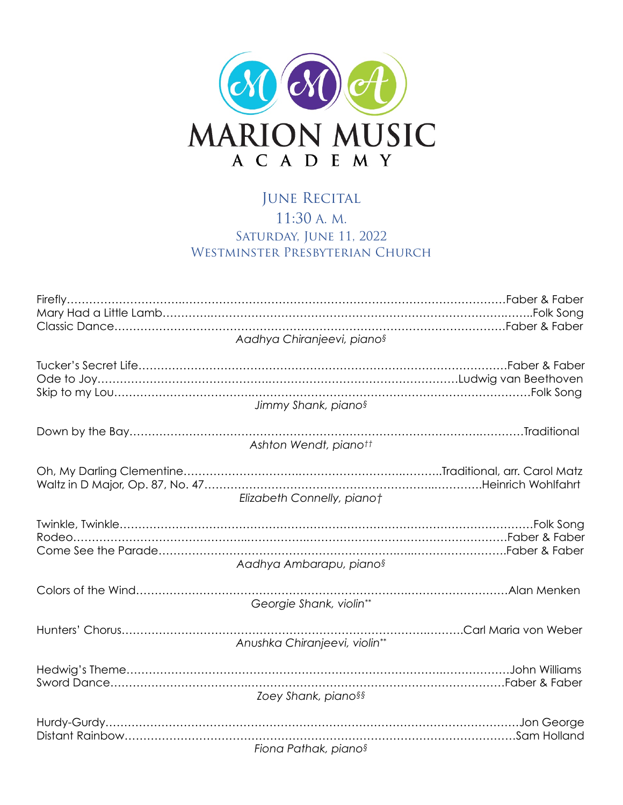

## JUNE RECITAL 11:30 A. M. SATURDAY, JUNE 11, 2022 WESTMINSTER PRESBYTERIAN CHURCH

| Aadhya Chiranjeevi, piano <sup>§</sup>                 |
|--------------------------------------------------------|
| Jimmy Shank, pianos                                    |
| Ashton Wendt, pianott                                  |
| Elizabeth Connelly, pianot                             |
|                                                        |
| Aadhya Ambarapu, pianos                                |
| Georgie Shank, violin**                                |
| .Carl Maria von Weber<br>Anushka Chiranjeevi, violin** |
| Zoey Shank, piano§§                                    |
| Fiona Pathak, piano§                                   |
|                                                        |